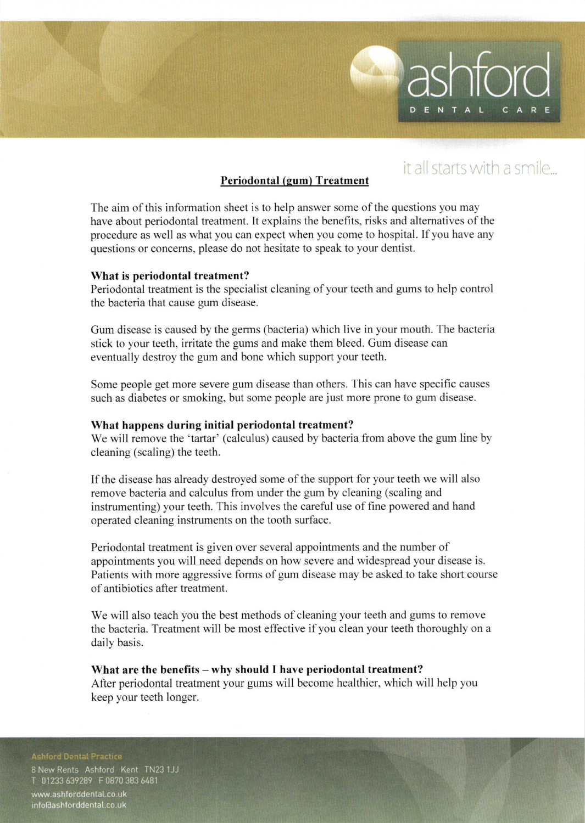## it all starts with a smile...

ENT

The aim of this information sheet is to help answer some of the questions you may have about periodontal treatment. It explains the benefits, risks and alternatives of the procedure as well as what you can expect when you come to hospital. If you have any questions or concerns, please do not hesitate to speak to your dentist.

Periodontal (gum) Treatment

#### What is periodontal treatment?

Periodontal treatment is the specialist cleaning of your teeth and gums to help control the bacteria that cause gum disease.

Gum disease is caused by the germs (bacteria) which live in your mouth. The bacteria stick to your teeth. iritate the gums and make them bleed. Gum disease can eventually destroy the gum and bone which support your teeth.

Some people get more severe gum disease than others. This can have specific causcs such as diabetes or smoking, but some people are just more prone to gum disease.

#### What happens during initial periodontal treatment?

We will remove the 'tartar' (calculus) caused by bacteria from above the gum line by cleaning (scaling) the teeth.

Ifthe disease has already destroyed some of the support for your teeth we will also remove bacteria and calculus from under the gum by cleaning (scaling and instrumenting) your teeth. This involves the careful use of fine powered and hand operated cleaning instruments on the tooth surlace.

Periodontal treatment is given over several appointments and the number of appointments you will need depends on how severe and widespread your disease is. Patients with more aggressive forms of gum disease may be asked to take short course of antibiotics after treatment.

We will also teach you the best methods of cleaning your teeth and gums to remove the bacteria. Treatment will be most effective if you clean your teeth thoroughly on a daily basis.

What are the benefits - why should I have periodontal treatment? After periodontal treatment your gums will become healthier. which will help you keep your teeth longer.

8 New Rents Ashford Kent TN23 1JJ 01233 639289 F 0870 383 6481

www.ashforddental.co.uk info@ashforddental.co.uk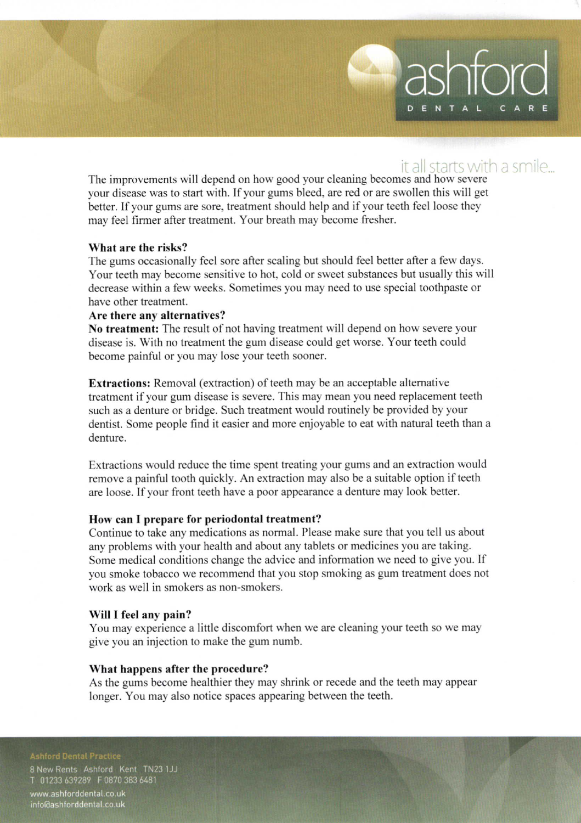## it all starts with a smile...

DENTA

The improvements will depend on how good your cleaning becomes and how severe your disease was to start with. If your gums bleed, are red or are swollen this will get better. If your gums are sore, treatment should help and if your teeth feel loose they may feel firmer after treatment. Your breath may become fresher.

#### What are the risks?

The gums occasionally feel sore after scaling but should feel better after a few days. Your teeth may become sensitive to hot, cold or sweet substances but usually this will decrease within a few weeks. Sometimes you may need to use special toothpaste or have other treatment.

#### Are there any alternatives?

No treatment: The result of not having treatment will depend on how severe your disease is. With no treatment the gum disease could get worse. Your teeth could become painful or you may lose your teeth sooner.

Extractions: Removal (extraction) of teeth may be an acceptable altemative treatment if your gum disease is severe. This may mean you need replacement teeth such as a denture or bridge. Such treatment would routinely be provided by your dentist. Some people find it easier and more enjoyable to eat wilh natural teeth than a denture.

Extractions would reduce the time spent treating your gums and an extraction would remove a painful tooth quickly. An extraction may also be a suitable option if teeth are loose. If your front teeth have a poor appearance a denture may look better.

### How can I prepare for periodontal treatment?

Continue to take any medications as normal. Please make sure that you tell us about any problems with your health and about any tablets or medicines you are taking. Some medical conditions change the advice and information we need to give you. If you smoke tobacco we recommend that you stop smoking as gum treatment does not work as well in smokers as non-smokers.

#### Will I feel any pain?

You may experience a little discomfort when we are cleaning your teeth so we may give you an injection to make the gum numb.

#### What happens after the procedure?

As the gums become healthier they may shrink or recede and the teeth may appear longer. You may also notice spaces appearing between the teeth.

8 New Rents Ashford Kent TN23 1JJ 01233 639289 F 0870 383 6481

www.ashforddental.co.uk info@ashforddental.co.uk